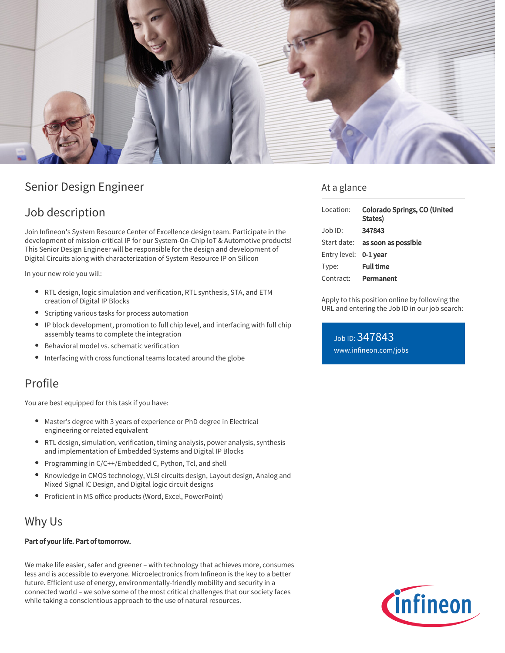

# Senior Design Engineer

# Job description

Join Infineon's System Resource Center of Excellence design team. Participate in the development of mission-critical IP for our System-On-Chip IoT & Automotive products! This Senior Design Engineer will be responsible for the design and development of Digital Circuits along with characterization of System Resource IP on Silicon

In your new role you will:

- RTL design, logic simulation and verification, RTL synthesis, STA, and ETM creation of Digital IP Blocks
- Scripting various tasks for process automation
- IP block development, promotion to full chip level, and interfacing with full chip assembly teams to complete the integration
- Behavioral model vs. schematic verification
- $\bullet$ Interfacing with cross functional teams located around the globe

## Profile

You are best equipped for this task if you have:

- Master's degree with 3 years of experience or PhD degree in Electrical engineering or related equivalent
- RTL design, simulation, verification, timing analysis, power analysis, synthesis and implementation of Embedded Systems and Digital IP Blocks
- Programming in C/C++/Embedded C, Python, Tcl, and shell
- Knowledge in CMOS technology, VLSI circuits design, Layout design, Analog and Mixed Signal IC Design, and Digital logic circuit designs
- Proficient in MS office products (Word, Excel, PowerPoint)

## Why Us

#### Part of your life. Part of tomorrow.

We make life easier, safer and greener – with technology that achieves more, consumes less and is accessible to everyone. Microelectronics from Infineon is the key to a better future. Efficient use of energy, environmentally-friendly mobility and security in a connected world – we solve some of the most critical challenges that our society faces while taking a conscientious approach to the use of natural resources.

### At a glance

| Location:             | <b>Colorado Springs, CO (United</b><br>States) |
|-----------------------|------------------------------------------------|
| Job ID:               | 347843                                         |
|                       | Start date: as soon as possible                |
| Entry level: 0-1 year |                                                |
| Type:                 | <b>Full time</b>                               |
| Contract:             | Permanent                                      |

Apply to this position online by following the URL and entering the Job ID in our job search:

Job ID: 347843 [www.infineon.com/jobs](https://www.infineon.com/jobs)